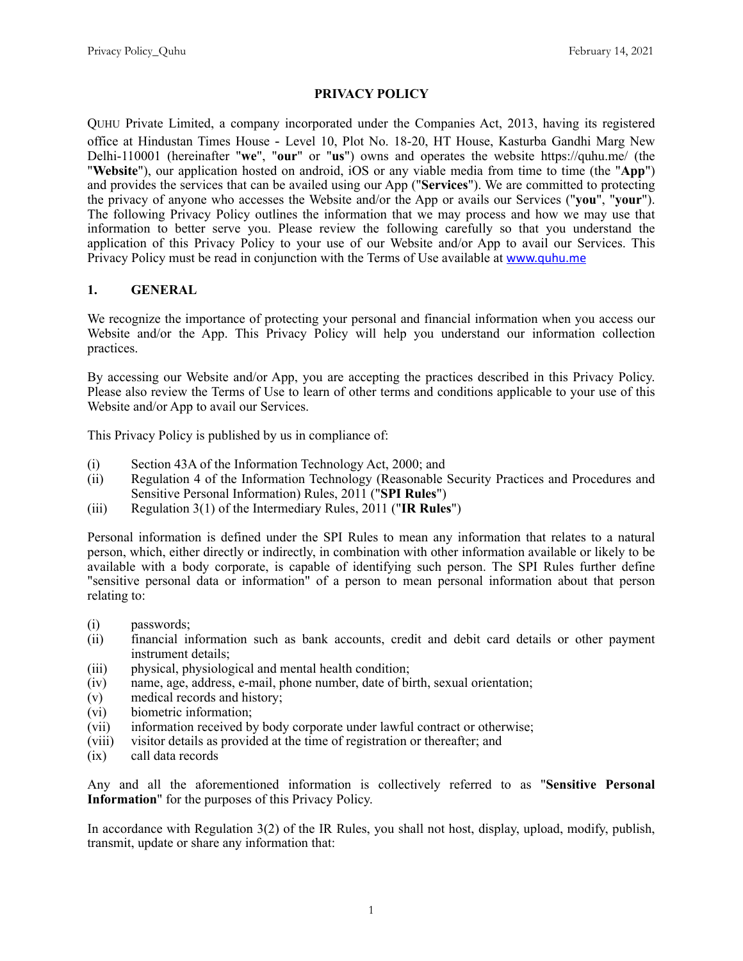### **PRIVACY POLICY**

QUHU Private Limited, a company incorporated under the Companies Act, 2013, having its registered office at Hindustan Times House - Level 10, Plot No. 18-20, HT House, Kasturba Gandhi Marg New Delhi-110001 (hereinafter "**we**", "**our**" or "**us**") owns and operates the website https://quhu.me/ (the "**Website**"), our application hosted on android, iOS or any viable media from time to time (the "**App**") and provides the services that can be availed using our App ("**Services**"). We are committed to protecting the privacy of anyone who accesses the Website and/or the App or avails our Services ("**you**", "**your**"). The following Privacy Policy outlines the information that we may process and how we may use that information to better serve you. Please review the following carefully so that you understand the application of this Privacy Policy to your use of our Website and/or App to avail our Services. This Privacy Policy must be read in conjunction with the Terms of Use available at [www.quhu.me](http://www.quhu.me)

### **1. GENERAL**

We recognize the importance of protecting your personal and financial information when you access our Website and/or the App. This Privacy Policy will help you understand our information collection practices.

By accessing our Website and/or App, you are accepting the practices described in this Privacy Policy. Please also review the Terms of Use to learn of other terms and conditions applicable to your use of this Website and/or App to avail our Services.

This Privacy Policy is published by us in compliance of:

- (i) Section 43A of the Information Technology Act, 2000; and
- (ii) Regulation 4 of the Information Technology (Reasonable Security Practices and Procedures and Sensitive Personal Information) Rules, 2011 ("**SPI Rules**")
- (iii) Regulation 3(1) of the Intermediary Rules, 2011 ("**IR Rules**")

Personal information is defined under the SPI Rules to mean any information that relates to a natural person, which, either directly or indirectly, in combination with other information available or likely to be available with a body corporate, is capable of identifying such person. The SPI Rules further define "sensitive personal data or information" of a person to mean personal information about that person relating to:

- (i) passwords;
- (ii) financial information such as bank accounts, credit and debit card details or other payment instrument details;
- (iii) physical, physiological and mental health condition;
- (iv) name, age, address, e-mail, phone number, date of birth, sexual orientation;
- (v) medical records and history;
- (vi) biometric information;
- (vii) information received by body corporate under lawful contract or otherwise;
- (viii) visitor details as provided at the time of registration or thereafter; and
- (ix) call data records

Any and all the aforementioned information is collectively referred to as "**Sensitive Personal Information**" for the purposes of this Privacy Policy.

In accordance with Regulation 3(2) of the IR Rules, you shall not host, display, upload, modify, publish, transmit, update or share any information that: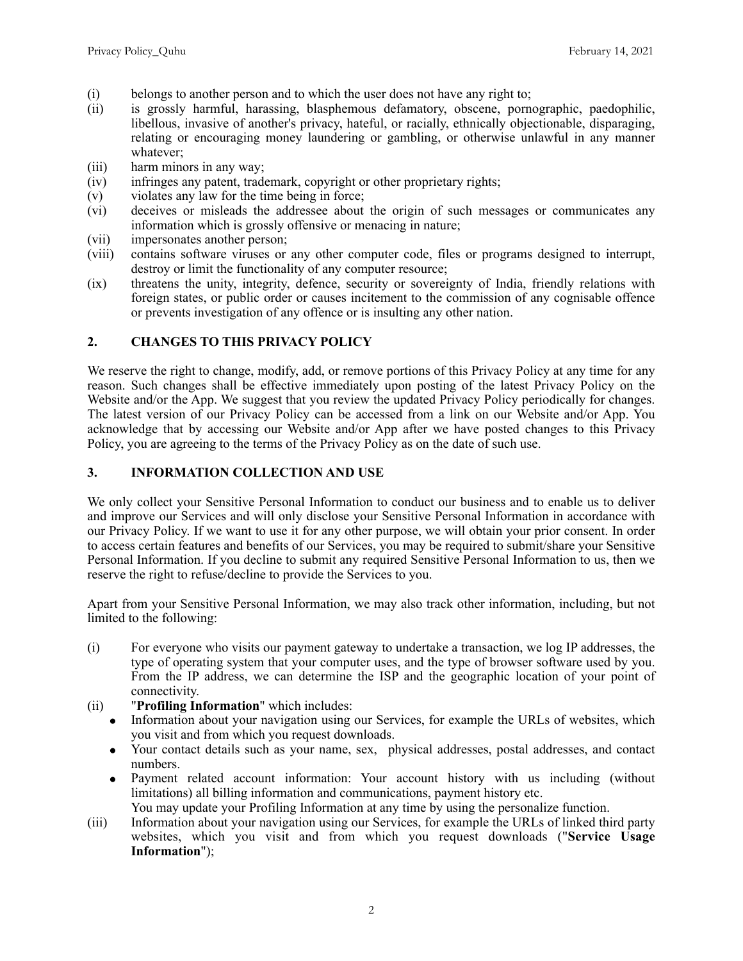- (i) belongs to another person and to which the user does not have any right to;
- (ii) is grossly harmful, harassing, blasphemous defamatory, obscene, pornographic, paedophilic, libellous, invasive of another's privacy, hateful, or racially, ethnically objectionable, disparaging, relating or encouraging money laundering or gambling, or otherwise unlawful in any manner whatever;
- (iii) harm minors in any way;
- (iv) infringes any patent, trademark, copyright or other proprietary rights;
- (v) violates any law for the time being in force;
- (vi) deceives or misleads the addressee about the origin of such messages or communicates any information which is grossly offensive or menacing in nature;
- (vii) impersonates another person;
- (viii) contains software viruses or any other computer code, files or programs designed to interrupt, destroy or limit the functionality of any computer resource;
- (ix) threatens the unity, integrity, defence, security or sovereignty of India, friendly relations with foreign states, or public order or causes incitement to the commission of any cognisable offence or prevents investigation of any offence or is insulting any other nation.

### **2. CHANGES TO THIS PRIVACY POLICY**

We reserve the right to change, modify, add, or remove portions of this Privacy Policy at any time for any reason. Such changes shall be effective immediately upon posting of the latest Privacy Policy on the Website and/or the App. We suggest that you review the updated Privacy Policy periodically for changes. The latest version of our Privacy Policy can be accessed from a link on our Website and/or App. You acknowledge that by accessing our Website and/or App after we have posted changes to this Privacy Policy, you are agreeing to the terms of the Privacy Policy as on the date of such use.

#### **3. INFORMATION COLLECTION AND USE**

We only collect your Sensitive Personal Information to conduct our business and to enable us to deliver and improve our Services and will only disclose your Sensitive Personal Information in accordance with our Privacy Policy. If we want to use it for any other purpose, we will obtain your prior consent. In order to access certain features and benefits of our Services, you may be required to submit/share your Sensitive Personal Information. If you decline to submit any required Sensitive Personal Information to us, then we reserve the right to refuse/decline to provide the Services to you.

Apart from your Sensitive Personal Information, we may also track other information, including, but not limited to the following:

- (i) For everyone who visits our payment gateway to undertake a transaction, we log IP addresses, the type of operating system that your computer uses, and the type of browser software used by you. From the IP address, we can determine the ISP and the geographic location of your point of connectivity.
- (ii) "**Profiling Information**" which includes:
	- Information about your navigation using our Services, for example the URLs of websites, which you visit and from which you request downloads.
	- Your contact details such as your name, sex, physical addresses, postal addresses, and contact numbers.
	- Payment related account information: Your account history with us including (without limitations) all billing information and communications, payment history etc. You may update your Profiling Information at any time by using the personalize function.
- (iii) Information about your navigation using our Services, for example the URLs of linked third party websites, which you visit and from which you request downloads ("**Service Usage Information**");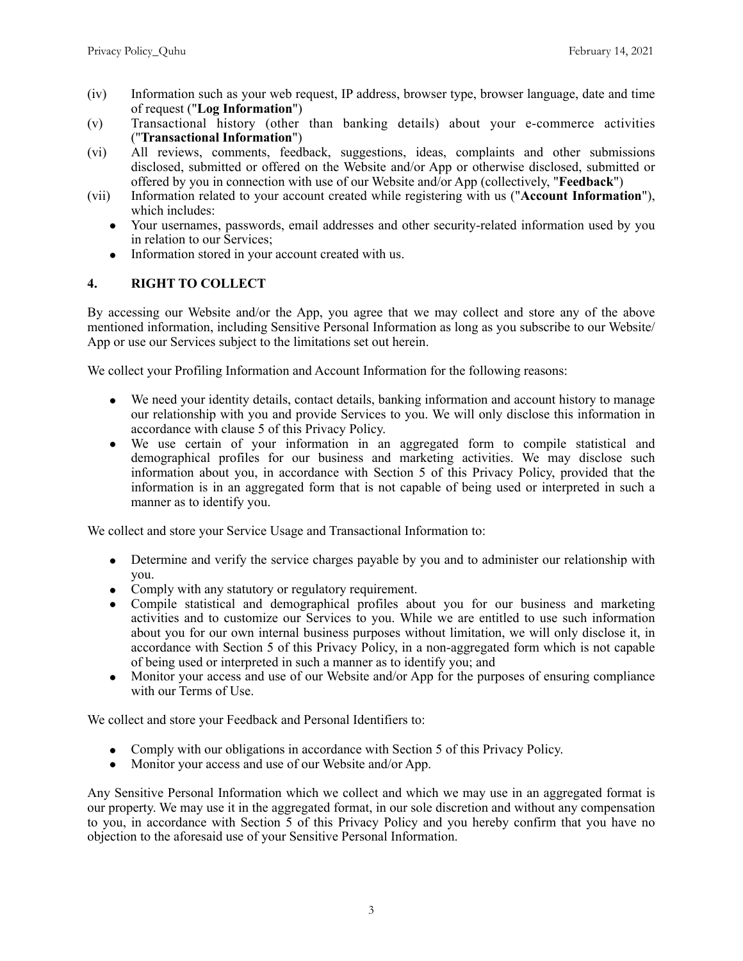- (iv) Information such as your web request, IP address, browser type, browser language, date and time of request ("**Log Information**")
- (v) Transactional history (other than banking details) about your e-commerce activities ("**Transactional Information**")
- (vi) All reviews, comments, feedback, suggestions, ideas, complaints and other submissions disclosed, submitted or offered on the Website and/or App or otherwise disclosed, submitted or offered by you in connection with use of our Website and/or App (collectively, "**Feedback**")
- (vii) Information related to your account created while registering with us ("**Account Information**"), which includes:
	- Your usernames, passwords, email addresses and other security-related information used by you in relation to our Services;
	- Information stored in your account created with us.

# **4. RIGHT TO COLLECT**

By accessing our Website and/or the App, you agree that we may collect and store any of the above mentioned information, including Sensitive Personal Information as long as you subscribe to our Website/ App or use our Services subject to the limitations set out herein.

We collect your Profiling Information and Account Information for the following reasons:

- We need your identity details, contact details, banking information and account history to manage our relationship with you and provide Services to you. We will only disclose this information in accordance with clause 5 of this Privacy Policy.
- We use certain of your information in an aggregated form to compile statistical and demographical profiles for our business and marketing activities. We may disclose such information about you, in accordance with Section 5 of this Privacy Policy, provided that the information is in an aggregated form that is not capable of being used or interpreted in such a manner as to identify you.

We collect and store your Service Usage and Transactional Information to:

- Determine and verify the service charges payable by you and to administer our relationship with you.
- Comply with any statutory or regulatory requirement.
- Compile statistical and demographical profiles about you for our business and marketing activities and to customize our Services to you. While we are entitled to use such information about you for our own internal business purposes without limitation, we will only disclose it, in accordance with Section 5 of this Privacy Policy, in a non-aggregated form which is not capable of being used or interpreted in such a manner as to identify you; and
- Monitor your access and use of our Website and/or App for the purposes of ensuring compliance with our Terms of Use.

We collect and store your Feedback and Personal Identifiers to:

- Comply with our obligations in accordance with Section 5 of this Privacy Policy.
- Monitor your access and use of our Website and/or App.

Any Sensitive Personal Information which we collect and which we may use in an aggregated format is our property. We may use it in the aggregated format, in our sole discretion and without any compensation to you, in accordance with Section 5 of this Privacy Policy and you hereby confirm that you have no objection to the aforesaid use of your Sensitive Personal Information.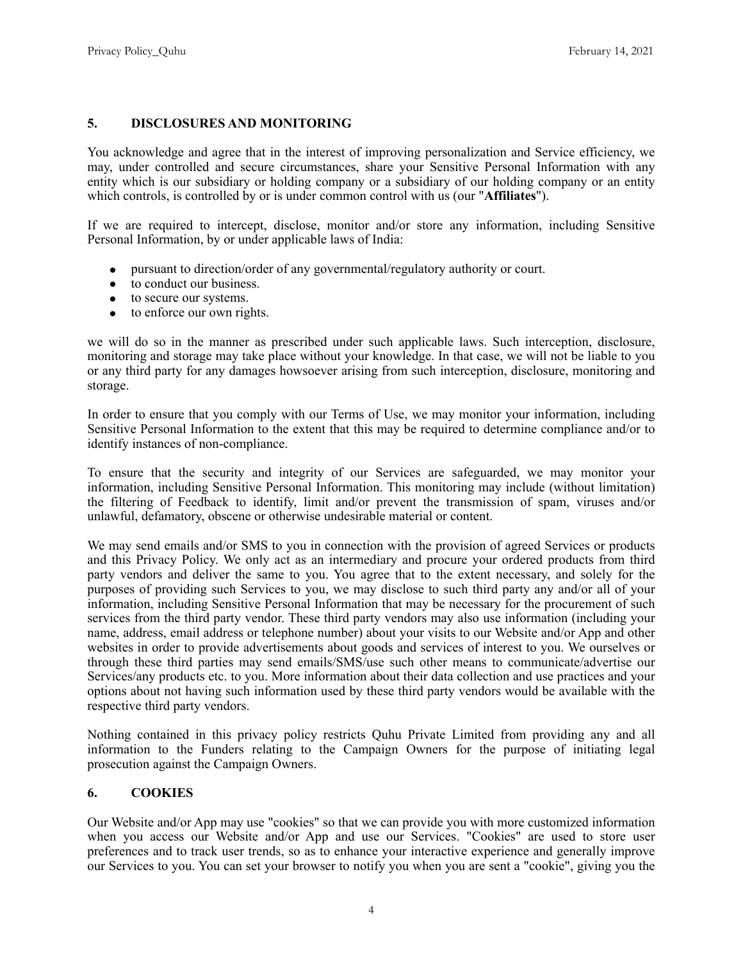### **5. DISCLOSURES AND MONITORING**

You acknowledge and agree that in the interest of improving personalization and Service efficiency, we may, under controlled and secure circumstances, share your Sensitive Personal Information with any entity which is our subsidiary or holding company or a subsidiary of our holding company or an entity which controls, is controlled by or is under common control with us (our "**Affiliates**").

If we are required to intercept, disclose, monitor and/or store any information, including Sensitive Personal Information, by or under applicable laws of India:

- pursuant to direction/order of any governmental/regulatory authority or court.
- to conduct our business.
- to secure our systems.
- $\bullet$  to enforce our own rights.

we will do so in the manner as prescribed under such applicable laws. Such interception, disclosure, monitoring and storage may take place without your knowledge. In that case, we will not be liable to you or any third party for any damages howsoever arising from such interception, disclosure, monitoring and storage.

In order to ensure that you comply with our Terms of Use, we may monitor your information, including Sensitive Personal Information to the extent that this may be required to determine compliance and/or to identify instances of non-compliance.

To ensure that the security and integrity of our Services are safeguarded, we may monitor your information, including Sensitive Personal Information. This monitoring may include (without limitation) the filtering of Feedback to identify, limit and/or prevent the transmission of spam, viruses and/or unlawful, defamatory, obscene or otherwise undesirable material or content.

We may send emails and/or SMS to you in connection with the provision of agreed Services or products and this Privacy Policy. We only act as an intermediary and procure your ordered products from third party vendors and deliver the same to you. You agree that to the extent necessary, and solely for the purposes of providing such Services to you, we may disclose to such third party any and/or all of your information, including Sensitive Personal Information that may be necessary for the procurement of such services from the third party vendor. These third party vendors may also use information (including your name, address, email address or telephone number) about your visits to our Website and/or App and other websites in order to provide advertisements about goods and services of interest to you. We ourselves or through these third parties may send emails/SMS/use such other means to communicate/advertise our Services/any products etc. to you. More information about their data collection and use practices and your options about not having such information used by these third party vendors would be available with the respective third party vendors.

Nothing contained in this privacy policy restricts Quhu Private Limited from providing any and all information to the Funders relating to the Campaign Owners for the purpose of initiating legal prosecution against the Campaign Owners.

#### **6. COOKIES**

Our Website and/or App may use "cookies" so that we can provide you with more customized information when you access our Website and/or App and use our Services. "Cookies" are used to store user preferences and to track user trends, so as to enhance your interactive experience and generally improve our Services to you. You can set your browser to notify you when you are sent a "cookie", giving you the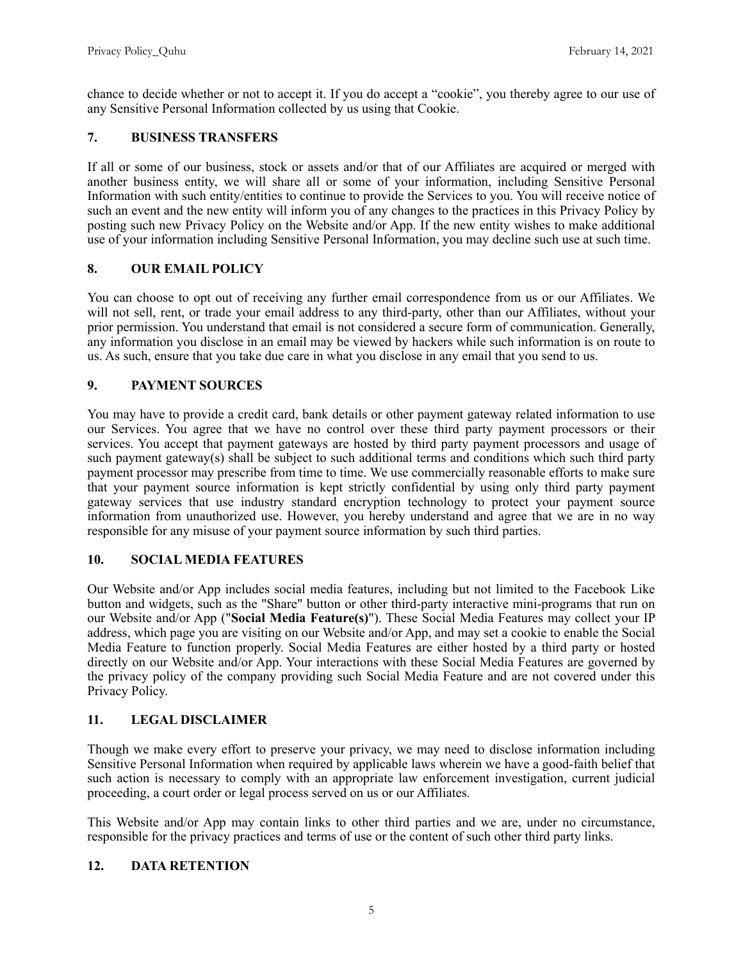chance to decide whether or not to accept it. If you do accept a "cookie", you thereby agree to our use of any Sensitive Personal Information collected by us using that Cookie.

### **7. BUSINESS TRANSFERS**

If all or some of our business, stock or assets and/or that of our Affiliates are acquired or merged with another business entity, we will share all or some of your information, including Sensitive Personal Information with such entity/entities to continue to provide the Services to you. You will receive notice of such an event and the new entity will inform you of any changes to the practices in this Privacy Policy by posting such new Privacy Policy on the Website and/or App. If the new entity wishes to make additional use of your information including Sensitive Personal Information, you may decline such use at such time.

### **8. OUR EMAIL POLICY**

You can choose to opt out of receiving any further email correspondence from us or our Affiliates. We will not sell, rent, or trade your email address to any third-party, other than our Affiliates, without your prior permission. You understand that email is not considered a secure form of communication. Generally, any information you disclose in an email may be viewed by hackers while such information is on route to us. As such, ensure that you take due care in what you disclose in any email that you send to us.

### **9. PAYMENT SOURCES**

You may have to provide a credit card, bank details or other payment gateway related information to use our Services. You agree that we have no control over these third party payment processors or their services. You accept that payment gateways are hosted by third party payment processors and usage of such payment gateway(s) shall be subject to such additional terms and conditions which such third party payment processor may prescribe from time to time. We use commercially reasonable efforts to make sure that your payment source information is kept strictly confidential by using only third party payment gateway services that use industry standard encryption technology to protect your payment source information from unauthorized use. However, you hereby understand and agree that we are in no way responsible for any misuse of your payment source information by such third parties.

### **10. SOCIAL MEDIA FEATURES**

Our Website and/or App includes social media features, including but not limited to the Facebook Like button and widgets, such as the "Share" button or other third-party interactive mini-programs that run on our Website and/or App ("**Social Media Feature(s)**"). These Social Media Features may collect your IP address, which page you are visiting on our Website and/or App, and may set a cookie to enable the Social Media Feature to function properly. Social Media Features are either hosted by a third party or hosted directly on our Website and/or App. Your interactions with these Social Media Features are governed by the privacy policy of the company providing such Social Media Feature and are not covered under this Privacy Policy.

# **11. LEGAL DISCLAIMER**

Though we make every effort to preserve your privacy, we may need to disclose information including Sensitive Personal Information when required by applicable laws wherein we have a good-faith belief that such action is necessary to comply with an appropriate law enforcement investigation, current judicial proceeding, a court order or legal process served on us or our Affiliates.

This Website and/or App may contain links to other third parties and we are, under no circumstance, responsible for the privacy practices and terms of use or the content of such other third party links.

### **12. DATA RETENTION**